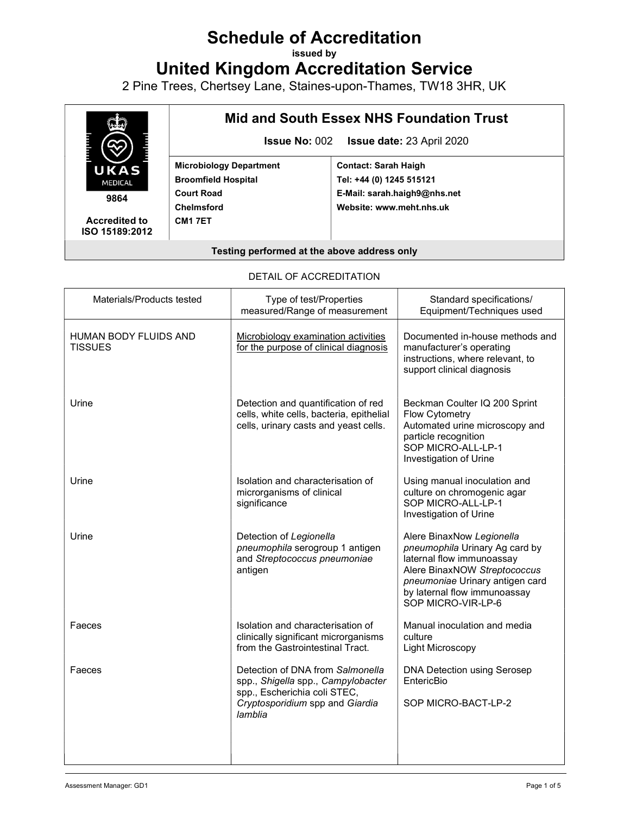# Schedule of Accreditation

issued by

United Kingdom Accreditation Service

2 Pine Trees, Chertsey Lane, Staines-upon-Thames, TW18 3HR, UK



Accredited to ISO 15189:2012

# Mid and South Essex NHS Foundation Trust

Issue No: 002 Issue date: 23 April 2020

Microbiology Department Broomfield Hospital Court Road Chelmsford CM1 7ET

Contact: Sarah Haigh Tel: +44 (0) 1245 515121 E-Mail: sarah.haigh9@nhs.net Website: www.meht.nhs.uk

#### Testing performed at the above address only

#### DETAIL OF ACCREDITATION

| Materials/Products tested               | Type of test/Properties<br>measured/Range of measurement                                                                                             | Standard specifications/<br>Equipment/Techniques used                                                                                                                                                             |
|-----------------------------------------|------------------------------------------------------------------------------------------------------------------------------------------------------|-------------------------------------------------------------------------------------------------------------------------------------------------------------------------------------------------------------------|
| HUMAN BODY FLUIDS AND<br><b>TISSUES</b> | Microbiology examination activities<br>for the purpose of clinical diagnosis                                                                         | Documented in-house methods and<br>manufacturer's operating<br>instructions, where relevant, to<br>support clinical diagnosis                                                                                     |
| Urine                                   | Detection and quantification of red<br>cells, white cells, bacteria, epithelial<br>cells, urinary casts and yeast cells.                             | Beckman Coulter IQ 200 Sprint<br>Flow Cytometry<br>Automated urine microscopy and<br>particle recognition<br>SOP MICRO-ALL-LP-1<br>Investigation of Urine                                                         |
| Urine                                   | Isolation and characterisation of<br>microrganisms of clinical<br>significance                                                                       | Using manual inoculation and<br>culture on chromogenic agar<br>SOP MICRO-ALL-LP-1<br>Investigation of Urine                                                                                                       |
| Urine                                   | Detection of Legionella<br>pneumophila serogroup 1 antigen<br>and Streptococcus pneumoniae<br>antigen                                                | Alere BinaxNow Legionella<br>pneumophila Urinary Ag card by<br>laternal flow immunoassay<br>Alere BinaxNOW Streptococcus<br>pneumoniae Urinary antigen card<br>by laternal flow immunoassay<br>SOP MICRO-VIR-LP-6 |
| Faeces                                  | Isolation and characterisation of<br>clinically significant microrganisms<br>from the Gastrointestinal Tract.                                        | Manual inoculation and media<br>culture<br>Light Microscopy                                                                                                                                                       |
| Faeces                                  | Detection of DNA from Salmonella<br>spp., Shigella spp., Campylobacter<br>spp., Escherichia coli STEC,<br>Cryptosporidium spp and Giardia<br>lamblia | <b>DNA Detection using Serosep</b><br>EntericBio<br>SOP MICRO-BACT-LP-2                                                                                                                                           |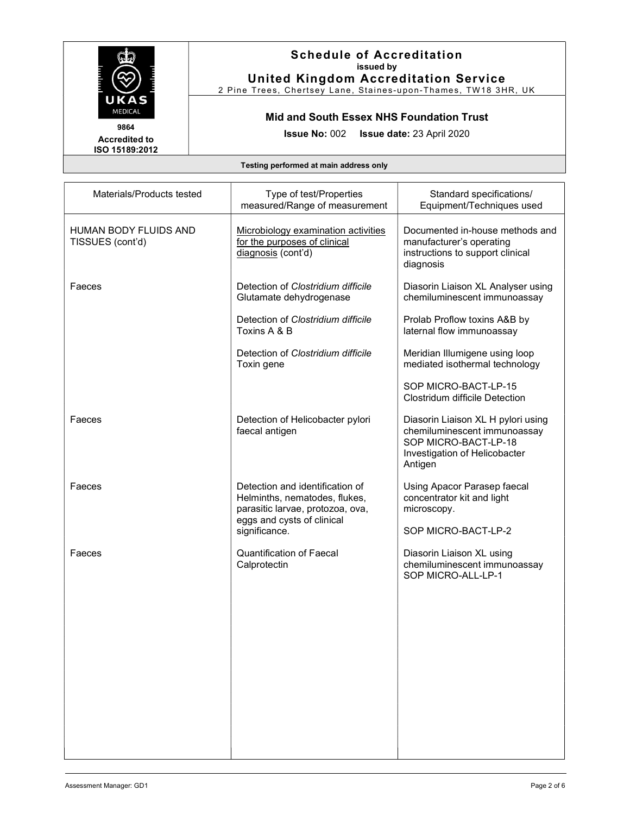

2 Pine Trees, Chertsey Lane, Staines-upon-Thames, TW18 3HR, UK

# Mid and South Essex NHS Foundation Trust

Issue No: 002 Issue date: 23 April 2020

Accredited to ISO 15189:2012

| Materials/Products tested                 | Type of test/Properties<br>measured/Range of measurement                                                                                            | Standard specifications/<br>Equipment/Techniques used                                                                                  |
|-------------------------------------------|-----------------------------------------------------------------------------------------------------------------------------------------------------|----------------------------------------------------------------------------------------------------------------------------------------|
| HUMAN BODY FLUIDS AND<br>TISSUES (cont'd) | Microbiology examination activities<br>for the purposes of clinical<br>diagnosis (cont'd)                                                           | Documented in-house methods and<br>manufacturer's operating<br>instructions to support clinical<br>diagnosis                           |
| Faeces                                    | Detection of Clostridium difficile<br>Glutamate dehydrogenase                                                                                       | Diasorin Liaison XL Analyser using<br>chemiluminescent immunoassay                                                                     |
|                                           | Detection of Clostridium difficile<br>Toxins A & B                                                                                                  | Prolab Proflow toxins A&B by<br>laternal flow immunoassay                                                                              |
|                                           | Detection of Clostridium difficile<br>Toxin gene                                                                                                    | Meridian Illumigene using loop<br>mediated isothermal technology                                                                       |
|                                           |                                                                                                                                                     | SOP MICRO-BACT-LP-15<br><b>Clostridum difficile Detection</b>                                                                          |
| Faeces                                    | Detection of Helicobacter pylori<br>faecal antigen                                                                                                  | Diasorin Liaison XL H pylori using<br>chemiluminescent immunoassay<br>SOP MICRO-BACT-LP-18<br>Investigation of Helicobacter<br>Antigen |
| Faeces                                    | Detection and identification of<br>Helminths, nematodes, flukes,<br>parasitic larvae, protozoa, ova,<br>eggs and cysts of clinical<br>significance. | Using Apacor Parasep faecal<br>concentrator kit and light<br>microscopy.<br>SOP MICRO-BACT-LP-2                                        |
| Faeces                                    | <b>Quantification of Faecal</b><br>Calprotectin                                                                                                     | Diasorin Liaison XL using<br>chemiluminescent immunoassay<br>SOP MICRO-ALL-LP-1                                                        |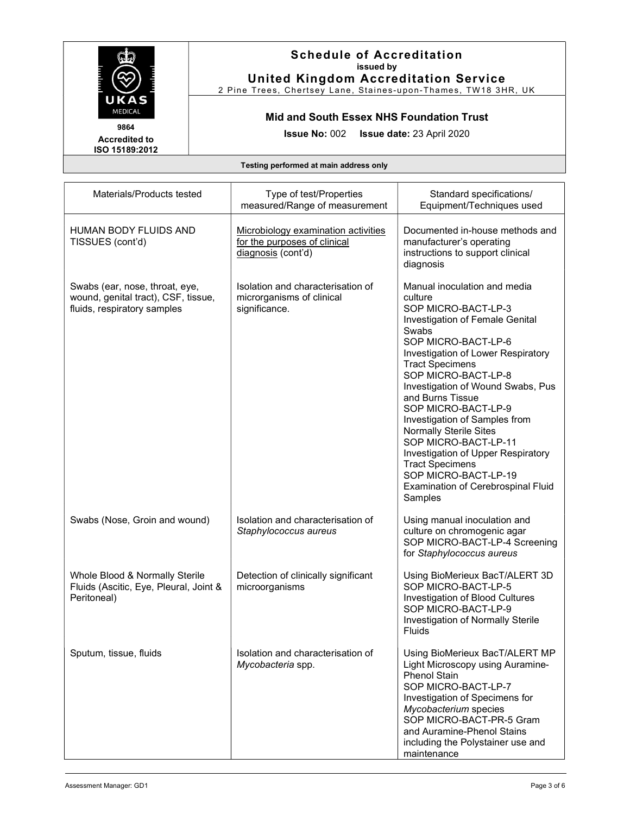

2 Pine Trees, Chertsey Lane, Staines-upon-Thames, TW18 3HR, UK

Mid and South Essex NHS Foundation Trust

Issue No: 002 Issue date: 23 April 2020

Accredited to ISO 15189:2012

| Materials/Products tested                                                                            | Type of test/Properties<br>measured/Range of measurement                                  | Standard specifications/<br>Equipment/Techniques used                                                                                                                                                                                                                                                                                                                                                                                                                                                                                       |
|------------------------------------------------------------------------------------------------------|-------------------------------------------------------------------------------------------|---------------------------------------------------------------------------------------------------------------------------------------------------------------------------------------------------------------------------------------------------------------------------------------------------------------------------------------------------------------------------------------------------------------------------------------------------------------------------------------------------------------------------------------------|
| <b>HUMAN BODY FLUIDS AND</b><br>TISSUES (cont'd)                                                     | Microbiology examination activities<br>for the purposes of clinical<br>diagnosis (cont'd) | Documented in-house methods and<br>manufacturer's operating<br>instructions to support clinical<br>diagnosis                                                                                                                                                                                                                                                                                                                                                                                                                                |
| Swabs (ear, nose, throat, eye,<br>wound, genital tract), CSF, tissue,<br>fluids, respiratory samples | Isolation and characterisation of<br>microrganisms of clinical<br>significance.           | Manual inoculation and media<br>culture<br>SOP MICRO-BACT-LP-3<br>Investigation of Female Genital<br>Swabs<br>SOP MICRO-BACT-LP-6<br>Investigation of Lower Respiratory<br><b>Tract Specimens</b><br>SOP MICRO-BACT-LP-8<br>Investigation of Wound Swabs, Pus<br>and Burns Tissue<br>SOP MICRO-BACT-LP-9<br>Investigation of Samples from<br><b>Normally Sterile Sites</b><br>SOP MICRO-BACT-LP-11<br>Investigation of Upper Respiratory<br><b>Tract Specimens</b><br>SOP MICRO-BACT-LP-19<br>Examination of Cerebrospinal Fluid<br>Samples |
| Swabs (Nose, Groin and wound)                                                                        | Isolation and characterisation of<br>Staphylococcus aureus                                | Using manual inoculation and<br>culture on chromogenic agar<br>SOP MICRO-BACT-LP-4 Screening<br>for Staphylococcus aureus                                                                                                                                                                                                                                                                                                                                                                                                                   |
| Whole Blood & Normally Sterile<br>Fluids (Ascitic, Eye, Pleural, Joint &<br>Peritoneal)              | Detection of clinically significant<br>microorganisms                                     | Using BioMerieux BacT/ALERT 3D<br>SOP MICRO-BACT-LP-5<br>Investigation of Blood Cultures<br>SOP MICRO-BACT-LP-9<br>Investigation of Normally Sterile<br><b>Fluids</b>                                                                                                                                                                                                                                                                                                                                                                       |
| Sputum, tissue, fluids                                                                               | Isolation and characterisation of<br>Mycobacteria spp.                                    | Using BioMerieux BacT/ALERT MP<br>Light Microscopy using Auramine-<br><b>Phenol Stain</b><br>SOP MICRO-BACT-LP-7<br>Investigation of Specimens for<br>Mycobacterium species<br>SOP MICRO-BACT-PR-5 Gram<br>and Auramine-Phenol Stains<br>including the Polystainer use and<br>maintenance                                                                                                                                                                                                                                                   |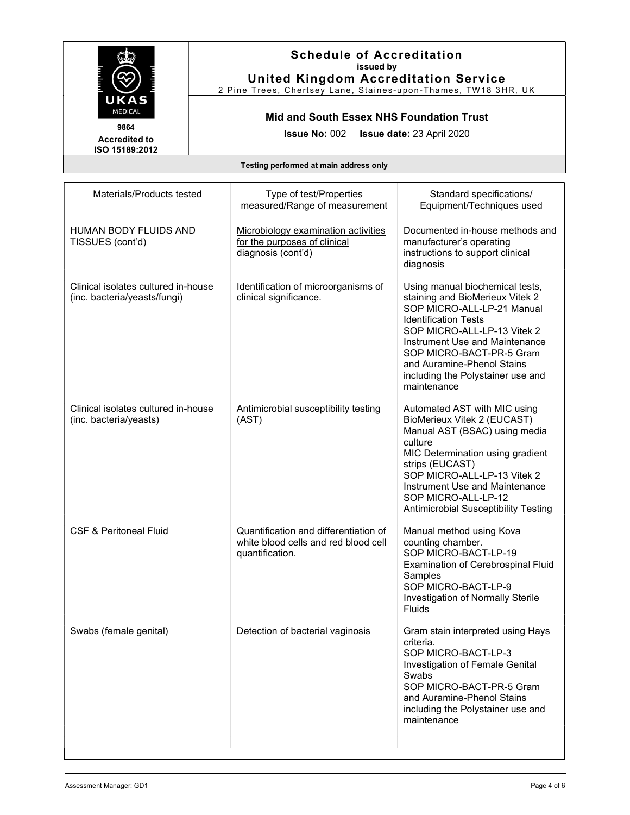

2 Pine Trees, Chertsey Lane, Staines-upon-Thames, TW18 3HR, UK

Mid and South Essex NHS Foundation Trust

Issue No: 002 Issue date: 23 April 2020

Accredited to ISO 15189:2012

| Materials/Products tested                                           | Type of test/Properties<br>measured/Range of measurement                                         | Standard specifications/<br>Equipment/Techniques used                                                                                                                                                                                                                                                          |
|---------------------------------------------------------------------|--------------------------------------------------------------------------------------------------|----------------------------------------------------------------------------------------------------------------------------------------------------------------------------------------------------------------------------------------------------------------------------------------------------------------|
| HUMAN BODY FLUIDS AND<br>TISSUES (cont'd)                           | Microbiology examination activities<br>for the purposes of clinical<br>diagnosis (cont'd)        | Documented in-house methods and<br>manufacturer's operating<br>instructions to support clinical<br>diagnosis                                                                                                                                                                                                   |
| Clinical isolates cultured in-house<br>(inc. bacteria/yeasts/fungi) | Identification of microorganisms of<br>clinical significance.                                    | Using manual biochemical tests,<br>staining and BioMerieux Vitek 2<br>SOP MICRO-ALL-LP-21 Manual<br><b>Identification Tests</b><br>SOP MICRO-ALL-LP-13 Vitek 2<br>Instrument Use and Maintenance<br>SOP MICRO-BACT-PR-5 Gram<br>and Auramine-Phenol Stains<br>including the Polystainer use and<br>maintenance |
| Clinical isolates cultured in-house<br>(inc. bacteria/yeasts)       | Antimicrobial susceptibility testing<br>(AST)                                                    | Automated AST with MIC using<br>BioMerieux Vitek 2 (EUCAST)<br>Manual AST (BSAC) using media<br>culture<br>MIC Determination using gradient<br>strips (EUCAST)<br>SOP MICRO-ALL-LP-13 Vitek 2<br>Instrument Use and Maintenance<br>SOP MICRO-ALL-LP-12<br><b>Antimicrobial Susceptibility Testing</b>          |
| <b>CSF &amp; Peritoneal Fluid</b>                                   | Quantification and differentiation of<br>white blood cells and red blood cell<br>quantification. | Manual method using Kova<br>counting chamber.<br>SOP MICRO-BACT-LP-19<br>Examination of Cerebrospinal Fluid<br>Samples<br>SOP MICRO-BACT-LP-9<br>Investigation of Normally Sterile<br><b>Fluids</b>                                                                                                            |
| Swabs (female genital)                                              | Detection of bacterial vaginosis                                                                 | Gram stain interpreted using Hays<br>criteria.<br>SOP MICRO-BACT-LP-3<br>Investigation of Female Genital<br>Swabs<br>SOP MICRO-BACT-PR-5 Gram<br>and Auramine-Phenol Stains<br>including the Polystainer use and<br>maintenance                                                                                |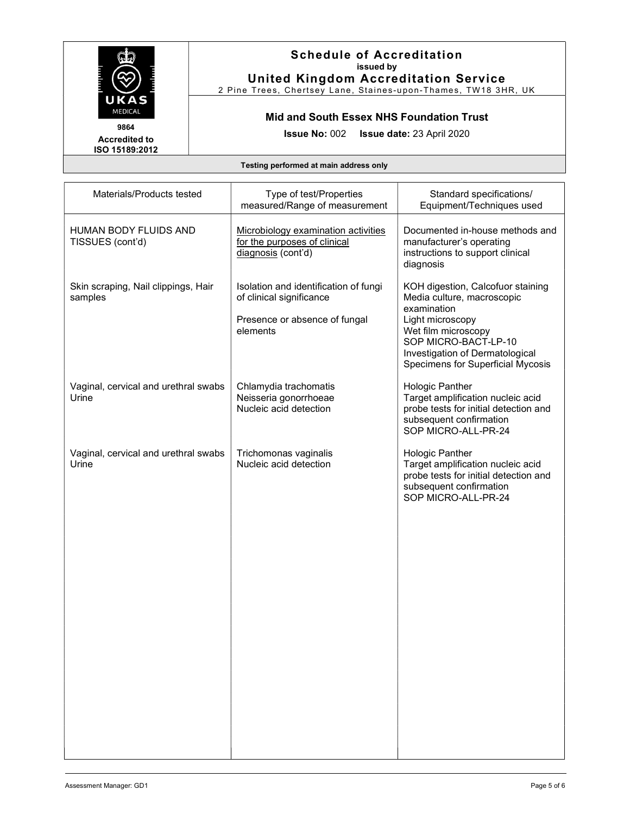

2 Pine Trees, Chertsey Lane, Staines-upon-Thames, TW18 3HR, UK

Mid and South Essex NHS Foundation Trust

Issue No: 002 Issue date: 23 April 2020

Accredited to ISO 15189:2012

| Materials/Products tested                      | Type of test/Properties<br>measured/Range of measurement                                                       | Standard specifications/<br>Equipment/Techniques used                                                                                                                                                                     |
|------------------------------------------------|----------------------------------------------------------------------------------------------------------------|---------------------------------------------------------------------------------------------------------------------------------------------------------------------------------------------------------------------------|
| HUMAN BODY FLUIDS AND<br>TISSUES (cont'd)      | Microbiology examination activities<br>for the purposes of clinical<br>diagnosis (cont'd)                      | Documented in-house methods and<br>manufacturer's operating<br>instructions to support clinical<br>diagnosis                                                                                                              |
| Skin scraping, Nail clippings, Hair<br>samples | Isolation and identification of fungi<br>of clinical significance<br>Presence or absence of fungal<br>elements | KOH digestion, Calcofuor staining<br>Media culture, macroscopic<br>examination<br>Light microscopy<br>Wet film microscopy<br>SOP MICRO-BACT-LP-10<br>Investigation of Dermatological<br>Specimens for Superficial Mycosis |
| Vaginal, cervical and urethral swabs<br>Urine  | Chlamydia trachomatis<br>Neisseria gonorrhoeae<br>Nucleic acid detection                                       | Hologic Panther<br>Target amplification nucleic acid<br>probe tests for initial detection and<br>subsequent confirmation<br>SOP MICRO-ALL-PR-24                                                                           |
| Vaginal, cervical and urethral swabs<br>Urine  | Trichomonas vaginalis<br>Nucleic acid detection                                                                | Hologic Panther<br>Target amplification nucleic acid<br>probe tests for initial detection and<br>subsequent confirmation<br>SOP MICRO-ALL-PR-24                                                                           |